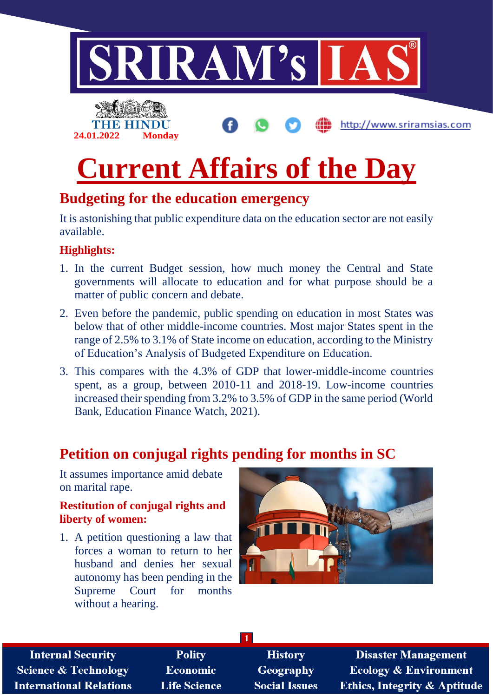

## **Budgeting for the education emergency**

It is astonishing that public expenditure data on the education sector are not easily available.

#### **Highlights:**

- 1. In the current Budget session, how much money the Central and State governments will allocate to education and for what purpose should be a matter of public concern and debate.
- 2. Even before the pandemic, public spending on education in most States was below that of other middle-income countries. Most major States spent in the range of 2.5% to 3.1% of State income on education, according to the Ministry of Education's Analysis of Budgeted Expenditure on Education.
- 3. This compares with the 4.3% of GDP that lower-middle-income countries spent, as a group, between 2010-11 and 2018-19. Low-income countries increased their spending from 3.2% to 3.5% of GDP in the same period (World Bank, Education Finance Watch, 2021).

## **Petition on conjugal rights pending for months in SC**

It assumes importance amid debate on marital rape.

#### **Restitution of conjugal rights and liberty of women:**

1. A petition questioning a law that forces a woman to return to her husband and denies her sexual autonomy has been pending in the Supreme Court for months without a hearing.



| <b>Polity</b>       | <b>History</b>       | <b>Disaster Management</b>              |  |  |  |
|---------------------|----------------------|-----------------------------------------|--|--|--|
| <b>Economic</b>     | <b>Geography</b>     | <b>Ecology &amp; Environment</b>        |  |  |  |
| <b>Life Science</b> | <b>Social Issues</b> | <b>Ethics, Integrity &amp; Aptitude</b> |  |  |  |
|                     |                      |                                         |  |  |  |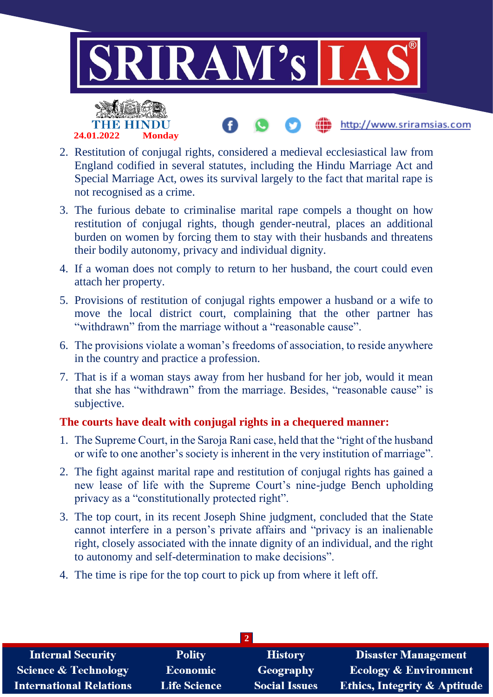

- 2. Restitution of conjugal rights, considered a medieval ecclesiastical law from England codified in several statutes, including the Hindu Marriage Act and Special Marriage Act, owes its survival largely to the fact that marital rape is not recognised as a crime.
- 3. The furious debate to criminalise marital rape compels a thought on how restitution of conjugal rights, though gender-neutral, places an additional burden on women by forcing them to stay with their husbands and threatens their bodily autonomy, privacy and individual dignity.
- 4. If a woman does not comply to return to her husband, the court could even attach her property.
- 5. Provisions of restitution of conjugal rights empower a husband or a wife to move the local district court, complaining that the other partner has "withdrawn" from the marriage without a "reasonable cause".
- 6. The provisions violate a woman's freedoms of association, to reside anywhere in the country and practice a profession.
- 7. That is if a woman stays away from her husband for her job, would it mean that she has "withdrawn" from the marriage. Besides, "reasonable cause" is subjective.

#### **The courts have dealt with conjugal rights in a chequered manner:**

- 1. The Supreme Court, in the Saroja Rani case, held that the "right of the husband or wife to one another's society is inherent in the very institution of marriage".
- 2. The fight against marital rape and restitution of conjugal rights has gained a new lease of life with the Supreme Court's nine-judge Bench upholding privacy as a "constitutionally protected right".
- 3. The top court, in its recent Joseph Shine judgment, concluded that the State cannot interfere in a person's private affairs and "privacy is an inalienable right, closely associated with the innate dignity of an individual, and the right to autonomy and self-determination to make decisions".
- 4. The time is ripe for the top court to pick up from where it left off.

| <b>Internal Security</b>        | <b>Polity</b>       | <b>History</b>       | <b>Disaster Management</b>              |  |
|---------------------------------|---------------------|----------------------|-----------------------------------------|--|
| <b>Science &amp; Technology</b> | <b>Economic</b>     | Geography            | <b>Ecology &amp; Environment</b>        |  |
| <b>International Relations</b>  | <b>Life Science</b> | <b>Social Issues</b> | <b>Ethics, Integrity &amp; Aptitude</b> |  |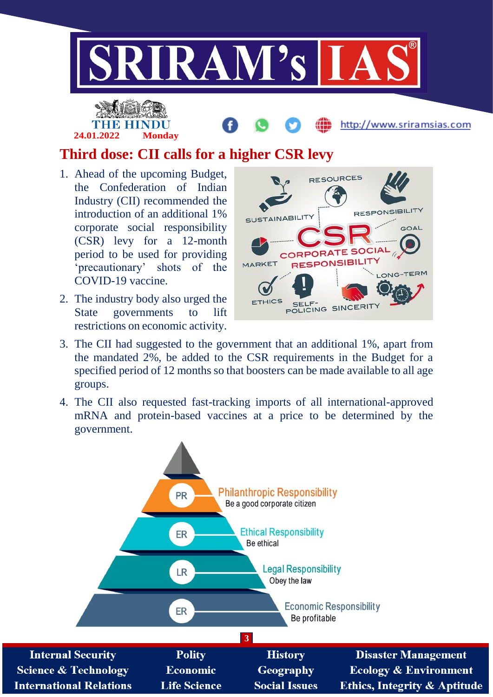

# **24.01.2022 Monday**

http://www.sriramsias.com

# **Third dose: CII calls for a higher CSR levy**

- 1. Ahead of the upcoming Budget, the Confederation of Indian Industry (CII) recommended the introduction of an additional 1% corporate social responsibility (CSR) levy for a 12-month period to be used for providing 'precautionary' shots of the COVID-19 vaccine.
- 2. The industry body also urged the State governments to lift restrictions on economic activity.



- 3. The CII had suggested to the government that an additional 1%, apart from the mandated 2%, be added to the CSR requirements in the Budget for a specified period of 12 months so that boosters can be made available to all age groups.
- 4. The CII also requested fast-tracking imports of all international-approved mRNA and protein-based vaccines at a price to be determined by the government.

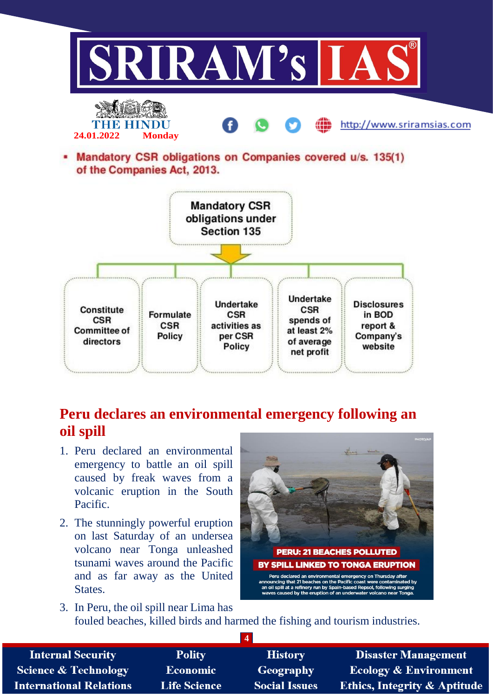

# **Peru declares an environmental emergency following an oil spill**

- 1. Peru declared an environmental emergency to battle an oil spill caused by freak waves from a volcanic eruption in the South Pacific.
- 2. The stunningly powerful eruption on last Saturday of an undersea volcano near Tonga unleashed tsunami waves around the Pacific and as far away as the United States.



3. In Peru, the oil spill near Lima has fouled beaches, killed birds and harmed the fishing and tourism industries.

| <b>Internal Security</b>        | <b>Polity</b>       | <b>History</b>       | <b>Disaster Management</b>              |
|---------------------------------|---------------------|----------------------|-----------------------------------------|
| <b>Science &amp; Technology</b> | <b>Economic</b>     | Geography            | <b>Ecology &amp; Environment</b>        |
| <b>International Relations</b>  | <b>Life Science</b> | <b>Social Issues</b> | <b>Ethics, Integrity &amp; Aptitude</b> |